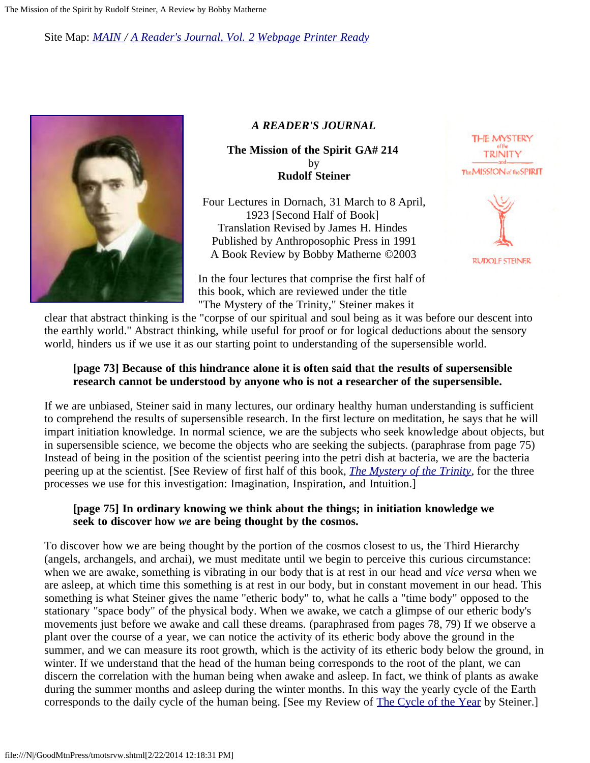Site Map: *[MAIN](http://www.doyletics.com/) / [A Reader's Journal, Vol. 2](http://www.doyletics.com/arjrevs.htm) [Webpage](http://www.doyletics.com/arj/tmotsrvw.htm) [Printer Ready](http://www.doyletics.com/arj/tmotsrvw.pdf)*



### *A READER'S JOURNAL*

**The Mission of the Spirit GA# 214**  by **Rudolf Steiner**

Four Lectures in Dornach, 31 March to 8 April, 1923 [Second Half of Book] Translation Revised by James H. Hindes Published by Anthroposophic Press in 1991 A Book Review by Bobby Matherne ©2003

In the four lectures that comprise the first half of this book, which are reviewed under the title "The Mystery of the Trinity," Steiner makes it





clear that abstract thinking is the "corpse of our spiritual and soul being as it was before our descent into the earthly world." Abstract thinking, while useful for proof or for logical deductions about the sensory world, hinders us if we use it as our starting point to understanding of the supersensible world.

## **[page 73] Because of this hindrance alone it is often said that the results of supersensible research cannot be understood by anyone who is not a researcher of the supersensible.**

If we are unbiased, Steiner said in many lectures, our ordinary healthy human understanding is sufficient to comprehend the results of supersensible research. In the first lecture on meditation, he says that he will impart initiation knowledge. In normal science, we are the subjects who seek knowledge about objects, but in supersensible science, we become the objects who are seeking the subjects. (paraphrase from page 75) Instead of being in the position of the scientist peering into the petri dish at bacteria, we are the bacteria peering up at the scientist. [See Review of first half of this book, *[The Mystery of the Trinity,](http://www.doyletics.com/arj/tmottrvw.htm)* for the three processes we use for this investigation: Imagination, Inspiration, and Intuition.]

# **[page 75] In ordinary knowing we think about the things; in initiation knowledge we seek to discover how** *we* **are being thought by the cosmos.**

To discover how we are being thought by the portion of the cosmos closest to us, the Third Hierarchy (angels, archangels, and archai), we must meditate until we begin to perceive this curious circumstance: when we are awake, something is vibrating in our body that is at rest in our head and *vice versa* when we are asleep, at which time this something is at rest in our body, but in constant movement in our head. This something is what Steiner gives the name "etheric body" to, what he calls a "time body" opposed to the stationary "space body" of the physical body. When we awake, we catch a glimpse of our etheric body's movements just before we awake and call these dreams. (paraphrased from pages 78, 79) If we observe a plant over the course of a year, we can notice the activity of its etheric body above the ground in the summer, and we can measure its root growth, which is the activity of its etheric body below the ground, in winter. If we understand that the head of the human being corresponds to the root of the plant, we can discern the correlation with the human being when awake and asleep. In fact, we think of plants as awake during the summer months and asleep during the winter months. In this way the yearly cycle of the Earth corresponds to the daily cycle of the human being. [See my Review of [The Cycle of the Year](http://www.doyletics.com/_arj1/cycleoft.htm) by Steiner.]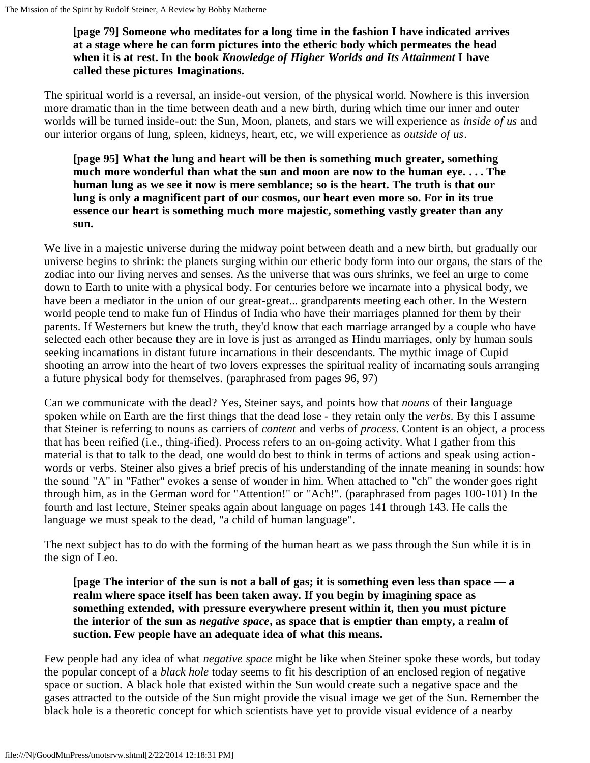# **[page 79] Someone who meditates for a long time in the fashion I have indicated arrives at a stage where he can form pictures into the etheric body which permeates the head when it is at rest. In the book** *Knowledge of Higher Worlds and Its Attainment* **I have called these pictures Imaginations.**

The spiritual world is a reversal, an inside-out version, of the physical world. Nowhere is this inversion more dramatic than in the time between death and a new birth, during which time our inner and outer worlds will be turned inside-out: the Sun, Moon, planets, and stars we will experience as *inside of us* and our interior organs of lung, spleen, kidneys, heart, etc, we will experience as *outside of us*.

**[page 95] What the lung and heart will be then is something much greater, something much more wonderful than what the sun and moon are now to the human eye. . . . The human lung as we see it now is mere semblance; so is the heart. The truth is that our lung is only a magnificent part of our cosmos, our heart even more so. For in its true essence our heart is something much more majestic, something vastly greater than any sun.**

We live in a majestic universe during the midway point between death and a new birth, but gradually our universe begins to shrink: the planets surging within our etheric body form into our organs, the stars of the zodiac into our living nerves and senses. As the universe that was ours shrinks, we feel an urge to come down to Earth to unite with a physical body. For centuries before we incarnate into a physical body, we have been a mediator in the union of our great-great... grandparents meeting each other. In the Western world people tend to make fun of Hindus of India who have their marriages planned for them by their parents. If Westerners but knew the truth, they'd know that each marriage arranged by a couple who have selected each other because they are in love is just as arranged as Hindu marriages, only by human souls seeking incarnations in distant future incarnations in their descendants. The mythic image of Cupid shooting an arrow into the heart of two lovers expresses the spiritual reality of incarnating souls arranging a future physical body for themselves. (paraphrased from pages 96, 97)

Can we communicate with the dead? Yes, Steiner says, and points how that *nouns* of their language spoken while on Earth are the first things that the dead lose - they retain only the *verbs.* By this I assume that Steiner is referring to nouns as carriers of *content* and verbs of *process*. Content is an object, a process that has been reified (i.e., thing-ified). Process refers to an on-going activity. What I gather from this material is that to talk to the dead, one would do best to think in terms of actions and speak using actionwords or verbs. Steiner also gives a brief precis of his understanding of the innate meaning in sounds: how the sound "A" in "Father" evokes a sense of wonder in him. When attached to "ch" the wonder goes right through him, as in the German word for "Attention!" or "Ach!". (paraphrased from pages 100-101) In the fourth and last lecture, Steiner speaks again about language on pages 141 through 143. He calls the language we must speak to the dead, "a child of human language".

The next subject has to do with the forming of the human heart as we pass through the Sun while it is in the sign of Leo.

**[page The interior of the sun is not a ball of gas; it is something even less than space — a realm where space itself has been taken away. If you begin by imagining space as something extended, with pressure everywhere present within it, then you must picture the interior of the sun as** *negative space***, as space that is emptier than empty, a realm of suction. Few people have an adequate idea of what this means.**

Few people had any idea of what *negative space* might be like when Steiner spoke these words, but today the popular concept of a *black hole* today seems to fit his description of an enclosed region of negative space or suction. A black hole that existed within the Sun would create such a negative space and the gases attracted to the outside of the Sun might provide the visual image we get of the Sun. Remember the black hole is a theoretic concept for which scientists have yet to provide visual evidence of a nearby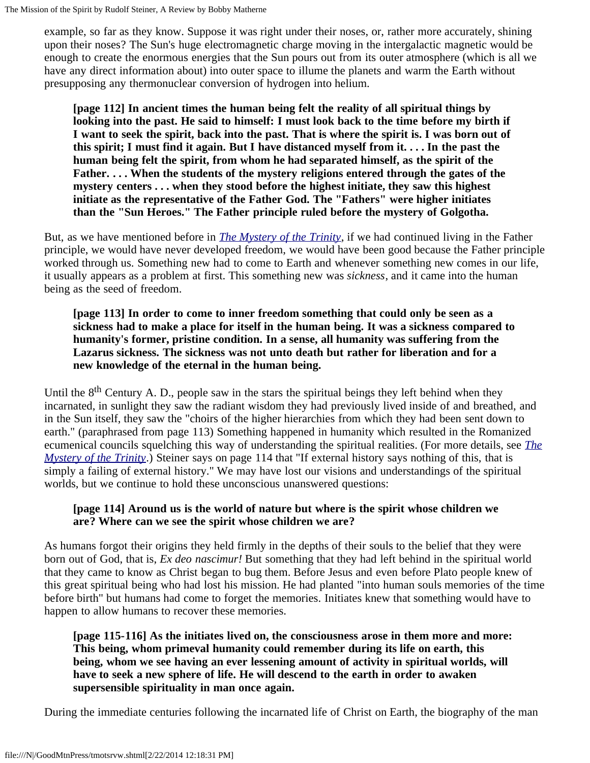example, so far as they know. Suppose it was right under their noses, or, rather more accurately, shining upon their noses? The Sun's huge electromagnetic charge moving in the intergalactic magnetic would be enough to create the enormous energies that the Sun pours out from its outer atmosphere (which is all we have any direct information about) into outer space to illume the planets and warm the Earth without presupposing any thermonuclear conversion of hydrogen into helium.

**[page 112] In ancient times the human being felt the reality of all spiritual things by looking into the past. He said to himself: I must look back to the time before my birth if I want to seek the spirit, back into the past. That is where the spirit is. I was born out of this spirit; I must find it again. But I have distanced myself from it. . . . In the past the human being felt the spirit, from whom he had separated himself, as the spirit of the Father. . . . When the students of the mystery religions entered through the gates of the mystery centers . . . when they stood before the highest initiate, they saw this highest initiate as the representative of the Father God. The "Fathers" were higher initiates than the "Sun Heroes." The Father principle ruled before the mystery of Golgotha.**

But, as we have mentioned before in *[The Mystery of the Trinity](http://www.doyletics.com/arj/tmottrvw.htm)*, if we had continued living in the Father principle, we would have never developed freedom, we would have been good because the Father principle worked through us. Something new had to come to Earth and whenever something new comes in our life, it usually appears as a problem at first. This something new was *sickness*, and it came into the human being as the seed of freedom.

**[page 113] In order to come to inner freedom something that could only be seen as a sickness had to make a place for itself in the human being. It was a sickness compared to humanity's former, pristine condition. In a sense, all humanity was suffering from the Lazarus sickness. The sickness was not unto death but rather for liberation and for a new knowledge of the eternal in the human being.**

Until the  $8<sup>th</sup>$  Century A. D., people saw in the stars the spiritual beings they left behind when they incarnated, in sunlight they saw the radiant wisdom they had previously lived inside of and breathed, and in the Sun itself, they saw the "choirs of the higher hierarchies from which they had been sent down to earth." (paraphrased from page 113) Something happened in humanity which resulted in the Romanized ecumenical councils squelching this way of understanding the spiritual realities. (For more details, see *[The](http://www.doyletics.com/arj/tmottrvw.htm) [Mystery of the Trinity](http://www.doyletics.com/arj/tmottrvw.htm)*.) Steiner says on page 114 that "If external history says nothing of this, that is simply a failing of external history." We may have lost our visions and understandings of the spiritual worlds, but we continue to hold these unconscious unanswered questions:

# **[page 114] Around us is the world of nature but where is the spirit whose children we are? Where can we see the spirit whose children we are?**

As humans forgot their origins they held firmly in the depths of their souls to the belief that they were born out of God, that is, *Ex deo nascimur!* But something that they had left behind in the spiritual world that they came to know as Christ began to bug them. Before Jesus and even before Plato people knew of this great spiritual being who had lost his mission. He had planted "into human souls memories of the time before birth" but humans had come to forget the memories. Initiates knew that something would have to happen to allow humans to recover these memories.

**[page 115-116] As the initiates lived on, the consciousness arose in them more and more: This being, whom primeval humanity could remember during its life on earth, this being, whom we see having an ever lessening amount of activity in spiritual worlds, will have to seek a new sphere of life. He will descend to the earth in order to awaken supersensible spirituality in man once again.**

During the immediate centuries following the incarnated life of Christ on Earth, the biography of the man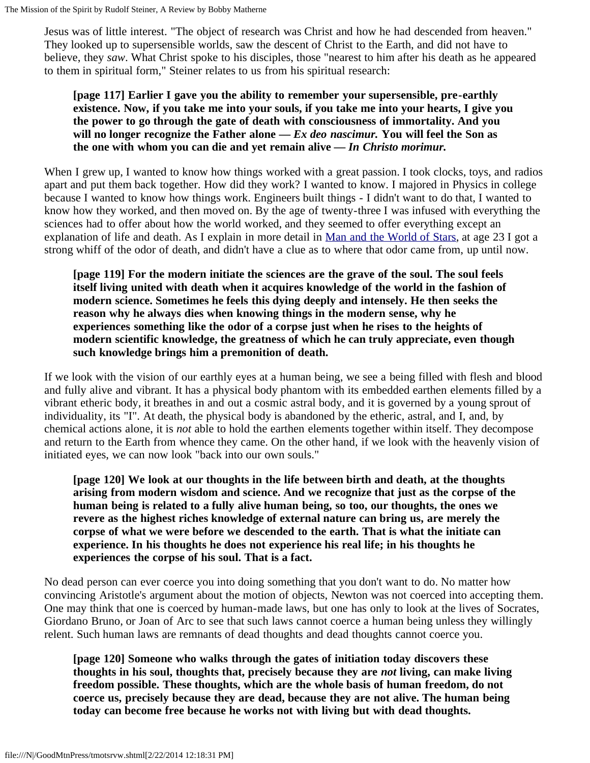Jesus was of little interest. "The object of research was Christ and how he had descended from heaven." They looked up to supersensible worlds, saw the descent of Christ to the Earth, and did not have to believe, they *saw*. What Christ spoke to his disciples, those "nearest to him after his death as he appeared to them in spiritual form," Steiner relates to us from his spiritual research:

### **[page 117] Earlier I gave you the ability to remember your supersensible, pre-earthly existence. Now, if you take me into your souls, if you take me into your hearts, I give you the power to go through the gate of death with consciousness of immortality. And you will no longer recognize the Father alone —** *Ex deo nascimur.* **You will feel the Son as the one with whom you can die and yet remain alive —** *In Christo morimur.*

When I grew up, I wanted to know how things worked with a great passion. I took clocks, toys, and radios apart and put them back together. How did they work? I wanted to know. I majored in Physics in college because I wanted to know how things work. Engineers built things - I didn't want to do that, I wanted to know how they worked, and then moved on. By the age of twenty-three I was infused with everything the sciences had to offer about how the world worked, and they seemed to offer everything except an explanation of life and death. As I explain in more detail in [Man and the World of Stars,](http://www.doyletics.com/arj/mwsrvw.htm) at age 23 I got a strong whiff of the odor of death, and didn't have a clue as to where that odor came from, up until now.

**[page 119] For the modern initiate the sciences are the grave of the soul. The soul feels itself living united with death when it acquires knowledge of the world in the fashion of modern science. Sometimes he feels this dying deeply and intensely. He then seeks the reason why he always dies when knowing things in the modern sense, why he experiences something like the odor of a corpse just when he rises to the heights of modern scientific knowledge, the greatness of which he can truly appreciate, even though such knowledge brings him a premonition of death.**

If we look with the vision of our earthly eyes at a human being, we see a being filled with flesh and blood and fully alive and vibrant. It has a physical body phantom with its embedded earthen elements filled by a vibrant etheric body, it breathes in and out a cosmic astral body, and it is governed by a young sprout of individuality, its "I". At death, the physical body is abandoned by the etheric, astral, and I, and, by chemical actions alone, it is *not* able to hold the earthen elements together within itself. They decompose and return to the Earth from whence they came. On the other hand, if we look with the heavenly vision of initiated eyes, we can now look "back into our own souls."

**[page 120] We look at our thoughts in the life between birth and death, at the thoughts arising from modern wisdom and science. And we recognize that just as the corpse of the human being is related to a fully alive human being, so too, our thoughts, the ones we revere as the highest riches knowledge of external nature can bring us, are merely the corpse of what we were before we descended to the earth. That is what the initiate can experience. In his thoughts he does not experience his real life; in his thoughts he experiences the corpse of his soul. That is a fact.**

No dead person can ever coerce you into doing something that you don't want to do. No matter how convincing Aristotle's argument about the motion of objects, Newton was not coerced into accepting them. One may think that one is coerced by human-made laws, but one has only to look at the lives of Socrates, Giordano Bruno, or Joan of Arc to see that such laws cannot coerce a human being unless they willingly relent. Such human laws are remnants of dead thoughts and dead thoughts cannot coerce you.

**[page 120] Someone who walks through the gates of initiation today discovers these thoughts in his soul, thoughts that, precisely because they are** *not* **living, can make living freedom possible. These thoughts, which are the whole basis of human freedom, do not coerce us, precisely because they are dead, because they are not alive. The human being today can become free because he works not with living but with dead thoughts.**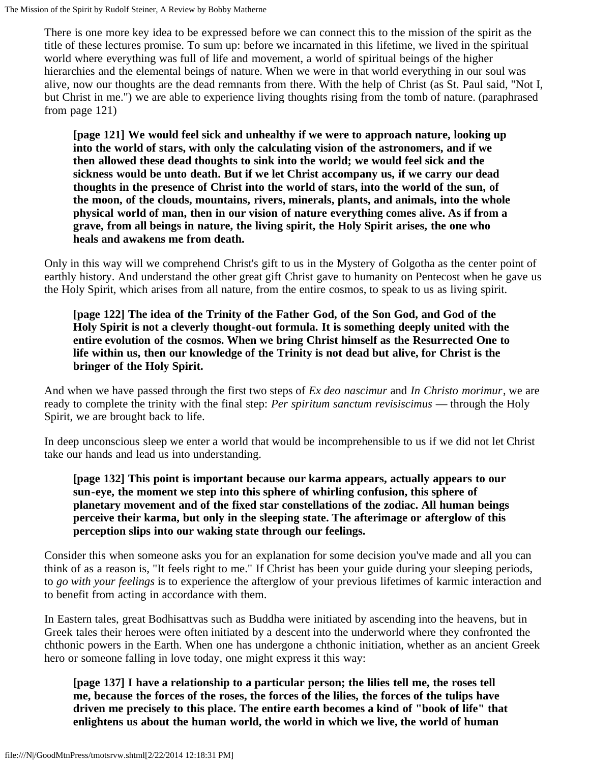There is one more key idea to be expressed before we can connect this to the mission of the spirit as the title of these lectures promise. To sum up: before we incarnated in this lifetime, we lived in the spiritual world where everything was full of life and movement, a world of spiritual beings of the higher hierarchies and the elemental beings of nature. When we were in that world everything in our soul was alive, now our thoughts are the dead remnants from there. With the help of Christ (as St. Paul said, "Not I, but Christ in me.") we are able to experience living thoughts rising from the tomb of nature. (paraphrased from page 121)

**[page 121] We would feel sick and unhealthy if we were to approach nature, looking up into the world of stars, with only the calculating vision of the astronomers, and if we then allowed these dead thoughts to sink into the world; we would feel sick and the sickness would be unto death. But if we let Christ accompany us, if we carry our dead thoughts in the presence of Christ into the world of stars, into the world of the sun, of the moon, of the clouds, mountains, rivers, minerals, plants, and animals, into the whole physical world of man, then in our vision of nature everything comes alive. As if from a grave, from all beings in nature, the living spirit, the Holy Spirit arises, the one who heals and awakens me from death.**

Only in this way will we comprehend Christ's gift to us in the Mystery of Golgotha as the center point of earthly history. And understand the other great gift Christ gave to humanity on Pentecost when he gave us the Holy Spirit, which arises from all nature, from the entire cosmos, to speak to us as living spirit.

**[page 122] The idea of the Trinity of the Father God, of the Son God, and God of the Holy Spirit is not a cleverly thought-out formula. It is something deeply united with the entire evolution of the cosmos. When we bring Christ himself as the Resurrected One to life within us, then our knowledge of the Trinity is not dead but alive, for Christ is the bringer of the Holy Spirit.**

And when we have passed through the first two steps of *Ex deo nascimur* and *In Christo morimur*, we are ready to complete the trinity with the final step: *Per spiritum sanctum revisiscimus* — through the Holy Spirit, we are brought back to life.

In deep unconscious sleep we enter a world that would be incomprehensible to us if we did not let Christ take our hands and lead us into understanding.

**[page 132] This point is important because our karma appears, actually appears to our sun-eye, the moment we step into this sphere of whirling confusion, this sphere of planetary movement and of the fixed star constellations of the zodiac. All human beings perceive their karma, but only in the sleeping state. The afterimage or afterglow of this perception slips into our waking state through our feelings.**

Consider this when someone asks you for an explanation for some decision you've made and all you can think of as a reason is, "It feels right to me." If Christ has been your guide during your sleeping periods, to *go with your feelings* is to experience the afterglow of your previous lifetimes of karmic interaction and to benefit from acting in accordance with them.

In Eastern tales, great Bodhisattvas such as Buddha were initiated by ascending into the heavens, but in Greek tales their heroes were often initiated by a descent into the underworld where they confronted the chthonic powers in the Earth. When one has undergone a chthonic initiation, whether as an ancient Greek hero or someone falling in love today, one might express it this way:

**[page 137] I have a relationship to a particular person; the lilies tell me, the roses tell me, because the forces of the roses, the forces of the lilies, the forces of the tulips have driven me precisely to this place. The entire earth becomes a kind of "book of life" that enlightens us about the human world, the world in which we live, the world of human**